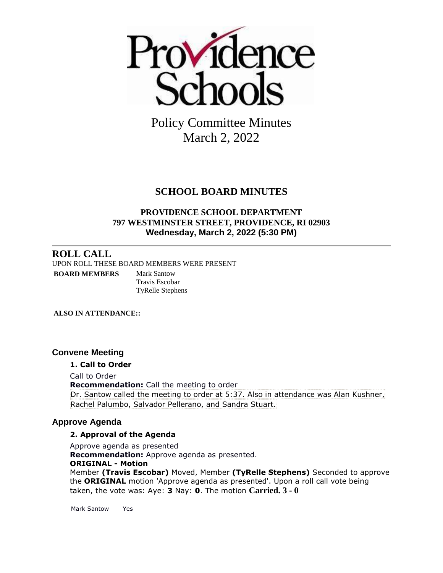

Policy Committee Minutes March 2, 2022

# **SCHOOL BOARD MINUTES**

## **PROVIDENCE SCHOOL DEPARTMENT 797 WESTMINSTER STREET, PROVIDENCE, RI 02903 Wednesday, March 2, 2022 (5:30 PM)**

## **ROLL CALL**

UPON ROLL THESE BOARD MEMBERS WERE PRESENT

**BOARD MEMBERS** Mark Santow

Travis Escobar TyRelle Stephens

**ALSO IN ATTENDANCE::**

## **Convene Meeting**

### **1. Call to Order**

Call to Order **Recommendation:** Call the meeting to order Dr. Santow called the meeting to order at 5:37. Also in attendance was Alan Kushner, Rachel Palumbo, Salvador Pellerano, and Sandra Stuart.

## **Approve Agenda**

### **2. Approval of the Agenda**

Approve agenda as presented **Recommendation:** Approve agenda as presented. **ORIGINAL - Motion** Member **(Travis Escobar)** Moved, Member **(TyRelle Stephens)** Seconded to approve the **ORIGINAL** motion 'Approve agenda as presented'. Upon a roll call vote being taken, the vote was: Aye: **3** Nay: **0**. The motion **Carried. 3 - 0** 

Mark Santow Yes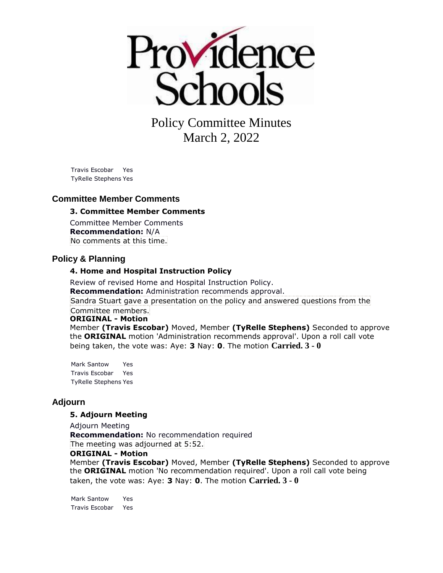

Policy Committee Minutes March 2, 2022

Travis Escobar Yes TyRelle Stephens Yes

#### **Committee Member Comments**

#### **3. Committee Member Comments**

Committee Member Comments **Recommendation:** N/A No comments at this time.

### **Policy & Planning**

#### **4. Home and Hospital Instruction Policy**

Review of revised Home and Hospital Instruction Policy. **Recommendation:** Administration recommends approval. Sandra Stuart gave a presentation on the policy and answered questions from the Committee members. **ORIGINAL - Motion** Member **(Travis Escobar)** Moved, Member **(TyRelle Stephens)** Seconded to approve

the **ORIGINAL** motion 'Administration recommends approval'. Upon a roll call vote being taken, the vote was: Aye: **3** Nay: **0**. The motion **Carried. 3 - 0** 

Mark Santow Yes Travis Escobar Yes TyRelle Stephens Yes

#### **Adjourn**

#### **5. Adjourn Meeting**

Adjourn Meeting

**Recommendation:** No recommendation required The meeting was adjourned at 5:52.

### **ORIGINAL - Motion**

Member **(Travis Escobar)** Moved, Member **(TyRelle Stephens)** Seconded to approve the **ORIGINAL** motion 'No recommendation required'. Upon a roll call vote being taken, the vote was: Aye: **3** Nay: **0**. The motion **Carried. 3 - 0** 

Mark Santow Yes Travis Escobar Yes